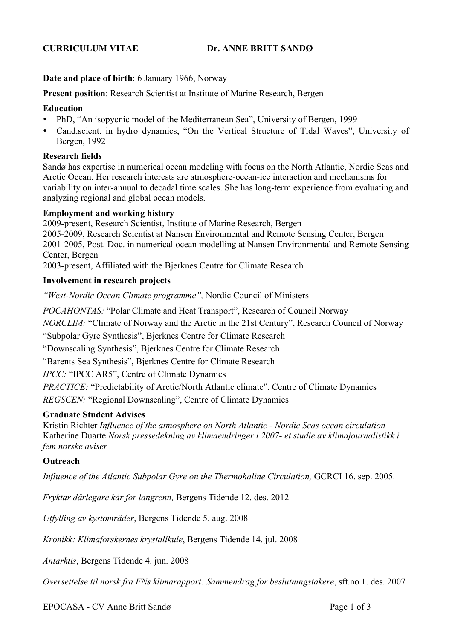# **CURRICULUM VITAE Dr. ANNE BRITT SANDØ**

## **Date and place of birth**: 6 January 1966, Norway

**Present position**: Research Scientist at Institute of Marine Research, Bergen

#### **Education**

- PhD, "An isopycnic model of the Mediterranean Sea", University of Bergen, 1999
- Cand.scient. in hydro dynamics, "On the Vertical Structure of Tidal Waves", University of Bergen, 1992

## **Research fields**

Sandø has expertise in numerical ocean modeling with focus on the North Atlantic, Nordic Seas and Arctic Ocean. Her research interests are atmosphere-ocean-ice interaction and mechanisms for variability on inter-annual to decadal time scales. She has long-term experience from evaluating and analyzing regional and global ocean models.

#### **Employment and working history**

2009-present, Research Scientist, Institute of Marine Research, Bergen 2005-2009, Research Scientist at Nansen Environmental and Remote Sensing Center, Bergen 2001-2005, Post. Doc. in numerical ocean modelling at Nansen Environmental and Remote Sensing Center, Bergen

2003-present, Affiliated with the Bjerknes Centre for Climate Research

### **Involvement in research projects**

*"West-Nordic Ocean Climate programme",* Nordic Council of Ministers

*POCAHONTAS:* "Polar Climate and Heat Transport", Research of Council Norway

*NORCLIM:* "Climate of Norway and the Arctic in the 21st Century", Research Council of Norway

"Subpolar Gyre Synthesis", Bjerknes Centre for Climate Research

"Downscaling Synthesis", Bjerknes Centre for Climate Research

"Barents Sea Synthesis", Bjerknes Centre for Climate Research

*IPCC:* "IPCC AR5", Centre of Climate Dynamics

*PRACTICE:* "Predictability of Arctic/North Atlantic climate", Centre of Climate Dynamics

*REGSCEN:* "Regional Downscaling", Centre of Climate Dynamics

### **Graduate Student Advises**

Kristin Richter *Influence of the atmosphere on North Atlantic - Nordic Seas ocean circulation* Katherine Duarte *Norsk pressedekning av klimaendringer i 2007- et studie av klimajournalistikk i fem norske aviser* 

# **Outreach**

*Influence of the Atlantic Subpolar Gyre on the Thermohaline Circulation, GCRCI 16. sep. 2005.* 

*Fryktar dårlegare kår for langrenn,* Bergens Tidende 12. des. 2012

*Utfylling av kystområder*, Bergens Tidende 5. aug. 2008

*Kronikk: Klimaforskernes krystallkule*, Bergens Tidende 14. jul. 2008

*Antarktis*, Bergens Tidende 4. jun. 2008

*Oversettelse til norsk fra FNs klimarapport: Sammendrag for beslutningstakere*, sft.no 1. des. 2007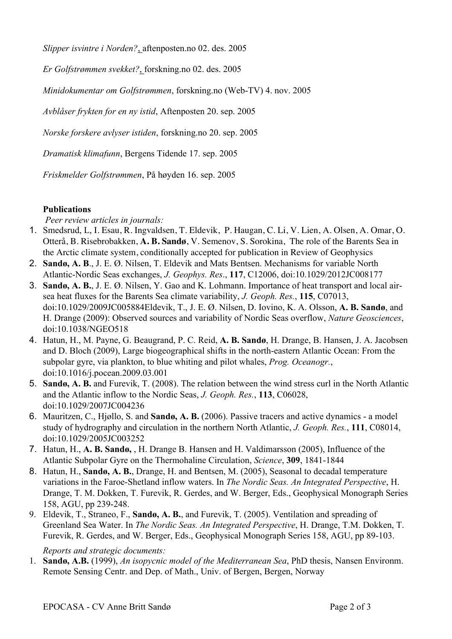*Slipper isvintre i Norden?*, aftenposten.no 02. des. 2005

*Er Golfstrømmen svekket?*, forskning.no 02. des. 2005

*Minidokumentar om Golfstrømmen*, forskning.no (Web-TV) 4. nov. 2005

*Avblåser frykten for en ny istid*, Aftenposten 20. sep. 2005

*Norske forskere avlyser istiden*, forskning.no 20. sep. 2005

*Dramatisk klimafunn*, Bergens Tidende 17. sep. 2005

*Friskmelder Golfstrømmen*, På høyden 16. sep. 2005

# **Publications**

*Peer review articles in journals:*

- 1. Smedsrud, L, I. Esau, R. Ingvaldsen, T. Eldevik, P. Haugan, C. Li, V. Lien, A. Olsen, A. Omar, O. Otterå, B. Risebrobakken, **A. B. Sandø**, V. Semenov, S. Sorokina, The role of the Barents Sea in the Arctic climate system, conditionally accepted for publication in Review of Geophysics
- 2. **Sandø, A. B**., J. E. Ø. Nilsen, T. Eldevik and Mats Bentsen. Mechanisms for variable North Atlantic-Nordic Seas exchanges, *J. Geophys. Res*., **117**, C12006, doi:10.1029/2012JC008177
- 3. **Sandø, A. B.**, J. E. Ø. Nilsen, Y. Gao and K. Lohmann. Importance of heat transport and local airsea heat fluxes for the Barents Sea climate variability, *J. Geoph. Res.*, **115**, C07013, doi:10.1029/2009JC005884Eldevik, T., J. E. Ø. Nilsen, D. Iovino, K. A. Olsson, **A. B. Sandø**, and H. Drange (2009): Observed sources and variability of Nordic Seas overflow, *Nature Geosciences*, doi:10.1038/NGEO518
- 4. Hatun, H., M. Payne, G. Beaugrand, P. C. Reid, **A. B. Sandø**, H. Drange, B. Hansen, J. A. Jacobsen and D. Bloch (2009), Large biogeographical shifts in the north-eastern Atlantic Ocean: From the subpolar gyre, via plankton, to blue whiting and pilot whales, *Prog. Oceanogr.*, doi:10.1016/j.pocean.2009.03.001
- 5. **Sandø, A. B.** and Furevik, T. (2008). The relation between the wind stress curl in the North Atlantic and the Atlantic inflow to the Nordic Seas, *J. Geoph. Res.*, **113**, C06028, doi:10.1029/2007JC004236
- 6. Mauritzen, C., Hjøllo, S. and **Sandø, A. B.** (2006). Passive tracers and active dynamics a model study of hydrography and circulation in the northern North Atlantic, *J. Geoph. Res.*, **111**, C08014, doi:10.1029/2005JC003252
- 7. Hatun, H., **A. B. Sandø,** , H. Drange B. Hansen and H. Valdimarsson (2005), Influence of the Atlantic Subpolar Gyre on the Thermohaline Circulation, *Science*, **309**, 1841-1844
- 8. Hatun, H., **Sandø, A. B.**, Drange, H. and Bentsen, M. (2005), Seasonal to decadal temperature variations in the Faroe-Shetland inflow waters. In *The Nordic Seas. An Integrated Perspective*, H. Drange, T. M. Dokken, T. Furevik, R. Gerdes, and W. Berger, Eds., Geophysical Monograph Series 158, AGU, pp 239-248.
- 9. Eldevik, T., Straneo, F., **Sandø, A. B.**, and Furevik, T. (2005). Ventilation and spreading of Greenland Sea Water. In *The Nordic Seas. An Integrated Perspective*, H. Drange, T.M. Dokken, T. Furevik, R. Gerdes, and W. Berger, Eds., Geophysical Monograph Series 158, AGU, pp 89-103.

*Reports and strategic documents:*

1. **Sandø, A.B.** (1999), *An isopycnic model of the Mediterranean Sea*, PhD thesis, Nansen Environm. Remote Sensing Centr. and Dep. of Math., Univ. of Bergen, Bergen, Norway